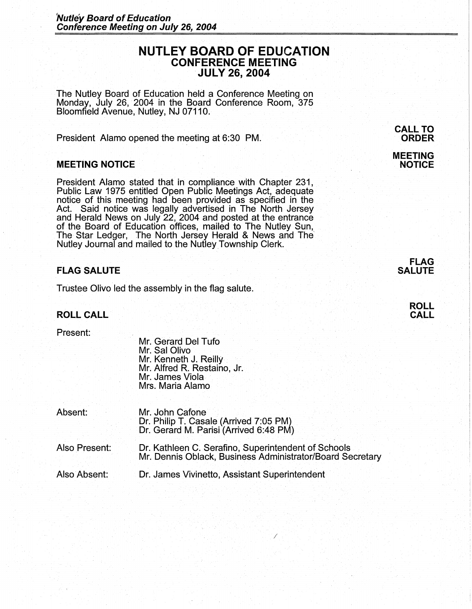# **NUTLEY BOARD OF EDUCATION CONFERENCE MEETING JULY 26, 2004**

The Nutley Board of Education held a Conference Meeting on Monday, July 26, 2004 in the Board Conference Room, 375 Bloomfield Avenue, Nutley, NJ 07110.

President Alamo opened the meeting at 6:30 PM.

### **MEETING NOTICE**

President Alamo stated that in compliance with Chapter 231, Public Law 1975 entitled Open Public Meetings Act, adequate notice of this meeting had been provided as specified in the Act. Said notice was legally advertised in The North Jersey and Herald News on July 22, 2004 and posted at the entrance of the Board of Education offices, mailed to The Nutley Sun, The Star Ledger, The North Jersey Herald & News and The' Nutley Journal and mailed to the Nutley Township Clerk.

# **FLAG SALUTE**

Trustee Olivo led the assembly in the flag salute.

### **ROLL CALL**

Present:

Mr. Gerard Del Tufo Mr. Sal Olivo Mr. Kenneth J. Reilly Mr. Alfred R. Restaino, Jr. Mr. James Viola Mrs. Maria Alamo

| Absent:       | Mr. John Cafone<br>Dr. Philip T. Casale (Arrived 7:05 PM)<br>Dr. Gerard M. Parisi (Arrived 6:48 PM)              |
|---------------|------------------------------------------------------------------------------------------------------------------|
| Also Present: | Dr. Kathleen C. Serafino, Superintendent of Schools<br>Mr. Dennis Oblack, Business Administrator/Board Secretary |
| Also Absent:  | Dr. James Vivinetto, Assistant Superintendent                                                                    |

/

#### **CALL TO ORDER**

### **MEETING NOTICE**

# **FLAG SALUTE**

**ROLL CALL**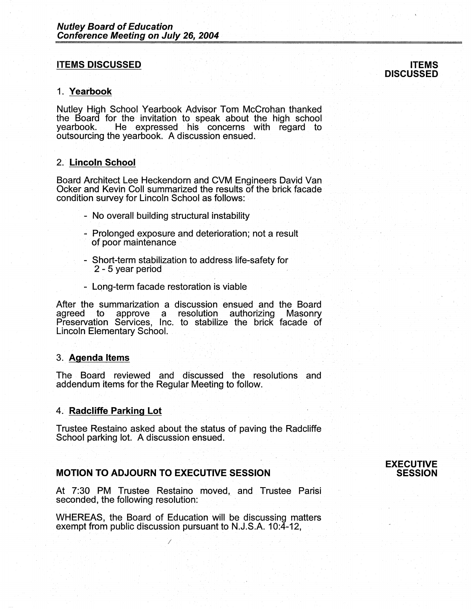### **ITEMS DISCUSSED**

#### 1. **Yearbook**

Nutley High School Yearbook Advisor Tom McCrohan thanked the Board for the invitation to speak about the high school<br>yearbook. He expressed his concerns with regard to He expressed his concerns with regard to outsourcing the yearbook. A discussion ensued.

# 2. **Lincoln School**

Board Architect Lee Heckendom and CVM Engineers David Van Ocker and Kevin Coll summarized the results of the brick facade condition survey for Lincoln School as follows:

- No overall building structural instability
- Prolonged exposure and deterioration; not a result of poor maintenance
- Short-term stabilization to address life-safety for 2 - 5 year period
- Long-term facade restoration is viable

After the summarization a discussion ensued and the Board agreed to approve a resolution authorizing Masonry Preservation Services, Inc. to stabilize the brick facade of Lincoln Elementary School. .

#### 3. **Agenda Items**

The Board reviewed and discussed the resolutions and addendum items for the Regular Meeting to follow.

#### 4. **Radcliffe Parking Lot**

Trustee Restaino asked about the status of paving the Radcliffe School parking lot. A discussion ensued.

### **MOTION TO ADJOURN TO EXECUTIVE SESSION**

*I* 

At 7:30 PM Trustee Restaino moved, and Trustee Parisi seconded, the following resolution:

WHEREAS, the Board of Education will be discussing matters exempt from public discussion pursuant to N.J.S.A. 10:4-12,

# **ITEMS DISCUSSED**